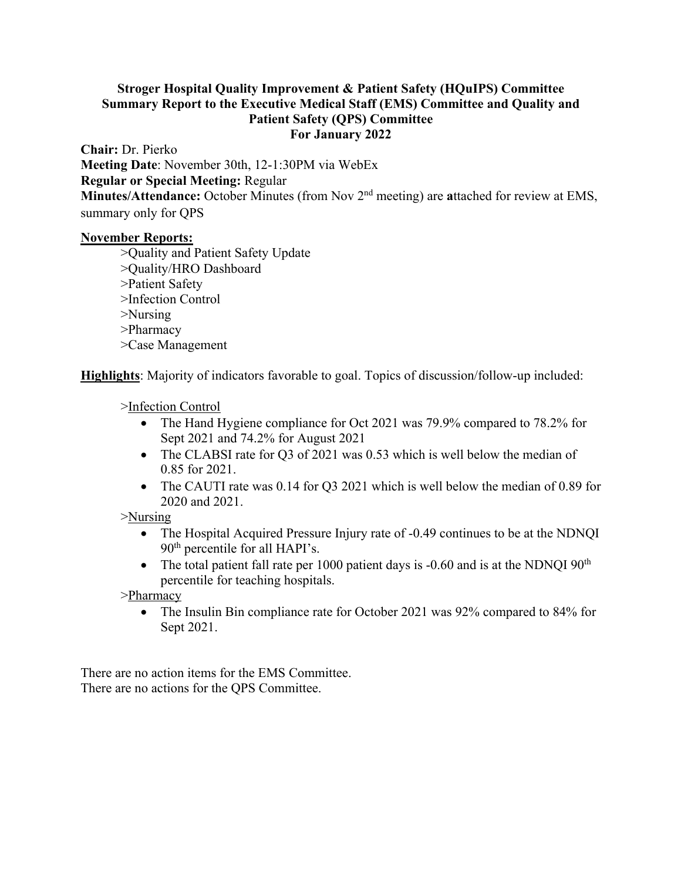## **Stroger Hospital Quality Improvement & Patient Safety (HQuIPS) Committee Summary Report to the Executive Medical Staff (EMS) Committee and Quality and Patient Safety (QPS) Committee For January 2022**

**Chair:** Dr. Pierko **Meeting Date**: November 30th, 12-1:30PM via WebEx **Regular or Special Meeting:** Regular **Minutes/Attendance:** October Minutes (from Nov 2nd meeting) are **a**ttached for review at EMS, summary only for QPS

## **November Reports:**

>Quality and Patient Safety Update >Quality/HRO Dashboard >Patient Safety >Infection Control >Nursing >Pharmacy >Case Management

**Highlights**: Majority of indicators favorable to goal. Topics of discussion/follow-up included:

>Infection Control

- The Hand Hygiene compliance for Oct 2021 was 79.9% compared to 78.2% for Sept 2021 and 74.2% for August 2021
- The CLABSI rate for Q3 of 2021 was 0.53 which is well below the median of 0.85 for 2021.
- The CAUTI rate was 0.14 for Q3 2021 which is well below the median of 0.89 for 2020 and 2021.

>Nursing

- The Hospital Acquired Pressure Injury rate of -0.49 continues to be at the NDNQI 90th percentile for all HAPI's.
- The total patient fall rate per 1000 patient days is  $-0.60$  and is at the NDNQI  $90<sup>th</sup>$ percentile for teaching hospitals.

>Pharmacy

• The Insulin Bin compliance rate for October 2021 was 92% compared to 84% for Sept 2021.

There are no action items for the EMS Committee. There are no actions for the QPS Committee.